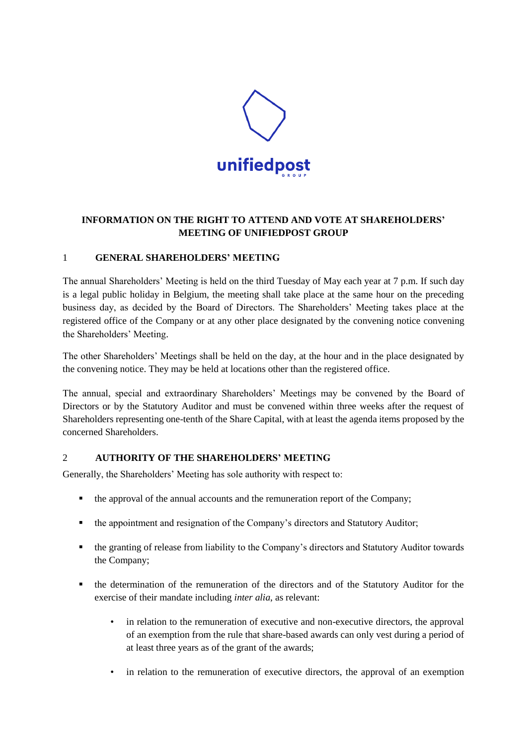

# **INFORMATION ON THE RIGHT TO ATTEND AND VOTE AT SHAREHOLDERS' MEETING OF UNIFIEDPOST GROUP**

## 1 **GENERAL SHAREHOLDERS' MEETING**

The annual Shareholders' Meeting is held on the third Tuesday of May each year at 7 p.m. If such day is a legal public holiday in Belgium, the meeting shall take place at the same hour on the preceding business day, as decided by the Board of Directors. The Shareholders' Meeting takes place at the registered office of the Company or at any other place designated by the convening notice convening the Shareholders' Meeting.

The other Shareholders' Meetings shall be held on the day, at the hour and in the place designated by the convening notice. They may be held at locations other than the registered office.

The annual, special and extraordinary Shareholders' Meetings may be convened by the Board of Directors or by the Statutory Auditor and must be convened within three weeks after the request of Shareholders representing one-tenth of the Share Capital, with at least the agenda items proposed by the concerned Shareholders.

### 2 **AUTHORITY OF THE SHAREHOLDERS' MEETING**

Generally, the Shareholders' Meeting has sole authority with respect to:

- the approval of the annual accounts and the remuneration report of the Company;
- the appointment and resignation of the Company's directors and Statutory Auditor;
- the granting of release from liability to the Company's directors and Statutory Auditor towards the Company;
- the determination of the remuneration of the directors and of the Statutory Auditor for the exercise of their mandate including *inter alia*, as relevant:
	- in relation to the remuneration of executive and non-executive directors, the approval of an exemption from the rule that share-based awards can only vest during a period of at least three years as of the grant of the awards;
	- in relation to the remuneration of executive directors, the approval of an exemption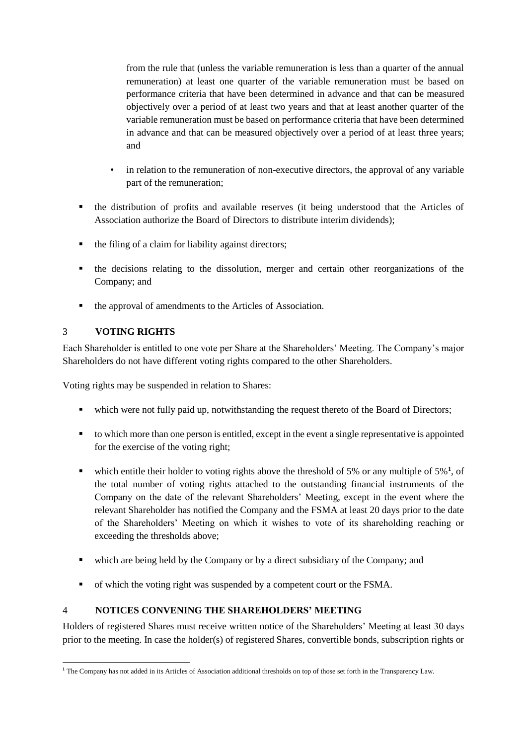from the rule that (unless the variable remuneration is less than a quarter of the annual remuneration) at least one quarter of the variable remuneration must be based on performance criteria that have been determined in advance and that can be measured objectively over a period of at least two years and that at least another quarter of the variable remuneration must be based on performance criteria that have been determined in advance and that can be measured objectively over a period of at least three years; and

- in relation to the remuneration of non-executive directors, the approval of any variable part of the remuneration;
- the distribution of profits and available reserves (it being understood that the Articles of Association authorize the Board of Directors to distribute interim dividends);
- $\blacksquare$  the filing of a claim for liability against directors;
- the decisions relating to the dissolution, merger and certain other reorganizations of the Company; and
- the approval of amendments to the Articles of Association.

## 3 **VOTING RIGHTS**

Each Shareholder is entitled to one vote per Share at the Shareholders' Meeting. The Company's major Shareholders do not have different voting rights compared to the other Shareholders.

Voting rights may be suspended in relation to Shares:

- which were not fully paid up, notwithstanding the request thereto of the Board of Directors;
- to which more than one person is entitled, except in the event a single representative is appointed for the exercise of the voting right;
- which entitle their holder to voting rights above the threshold of 5% or any multiple of  $5\%$ <sup>1</sup>, of the total number of voting rights attached to the outstanding financial instruments of the Company on the date of the relevant Shareholders' Meeting, except in the event where the relevant Shareholder has notified the Company and the FSMA at least 20 days prior to the date of the Shareholders' Meeting on which it wishes to vote of its shareholding reaching or exceeding the thresholds above;
- which are being held by the Company or by a direct subsidiary of the Company; and
- of which the voting right was suspended by a competent court or the FSMA.

### 4 **NOTICES CONVENING THE SHAREHOLDERS' MEETING**

Holders of registered Shares must receive written notice of the Shareholders' Meeting at least 30 days prior to the meeting. In case the holder(s) of registered Shares, convertible bonds, subscription rights or

<sup>-</sup>**<sup>1</sup>** The Company has not added in its Articles of Association additional thresholds on top of those set forth in the Transparency Law.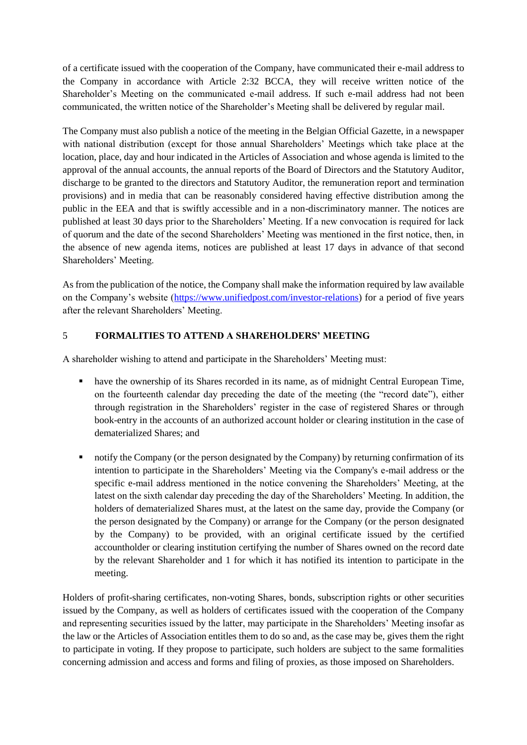of a certificate issued with the cooperation of the Company, have communicated their e-mail address to the Company in accordance with Article 2:32 BCCA, they will receive written notice of the Shareholder's Meeting on the communicated e-mail address. If such e-mail address had not been communicated, the written notice of the Shareholder's Meeting shall be delivered by regular mail.

The Company must also publish a notice of the meeting in the Belgian Official Gazette, in a newspaper with national distribution (except for those annual Shareholders' Meetings which take place at the location, place, day and hour indicated in the Articles of Association and whose agenda is limited to the approval of the annual accounts, the annual reports of the Board of Directors and the Statutory Auditor, discharge to be granted to the directors and Statutory Auditor, the remuneration report and termination provisions) and in media that can be reasonably considered having effective distribution among the public in the EEA and that is swiftly accessible and in a non-discriminatory manner. The notices are published at least 30 days prior to the Shareholders' Meeting. If a new convocation is required for lack of quorum and the date of the second Shareholders' Meeting was mentioned in the first notice, then, in the absence of new agenda items, notices are published at least 17 days in advance of that second Shareholders' Meeting.

As from the publication of the notice, the Company shall make the information required by law available on the Company's website [\(https://www.unifiedpost.com/investor-relations\)](https://www.unifiedpost.com/investor-relations) for a period of five years after the relevant Shareholders' Meeting.

## 5 **FORMALITIES TO ATTEND A SHAREHOLDERS' MEETING**

A shareholder wishing to attend and participate in the Shareholders' Meeting must:

- have the ownership of its Shares recorded in its name, as of midnight Central European Time, on the fourteenth calendar day preceding the date of the meeting (the "record date"), either through registration in the Shareholders' register in the case of registered Shares or through book-entry in the accounts of an authorized account holder or clearing institution in the case of dematerialized Shares; and
- notify the Company (or the person designated by the Company) by returning confirmation of its intention to participate in the Shareholders' Meeting via the Company's e-mail address or the specific e-mail address mentioned in the notice convening the Shareholders' Meeting, at the latest on the sixth calendar day preceding the day of the Shareholders' Meeting. In addition, the holders of dematerialized Shares must, at the latest on the same day, provide the Company (or the person designated by the Company) or arrange for the Company (or the person designated by the Company) to be provided, with an original certificate issued by the certified accountholder or clearing institution certifying the number of Shares owned on the record date by the relevant Shareholder and 1 for which it has notified its intention to participate in the meeting.

Holders of profit-sharing certificates, non-voting Shares, bonds, subscription rights or other securities issued by the Company, as well as holders of certificates issued with the cooperation of the Company and representing securities issued by the latter, may participate in the Shareholders' Meeting insofar as the law or the Articles of Association entitles them to do so and, as the case may be, gives them the right to participate in voting. If they propose to participate, such holders are subject to the same formalities concerning admission and access and forms and filing of proxies, as those imposed on Shareholders.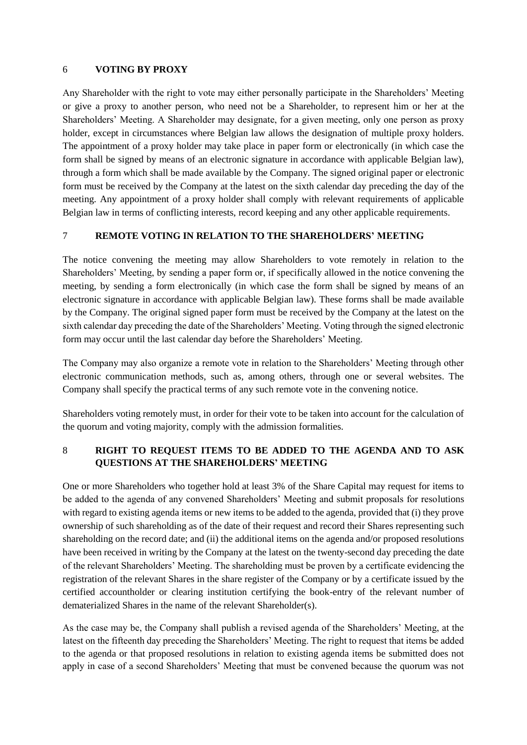#### 6 **VOTING BY PROXY**

Any Shareholder with the right to vote may either personally participate in the Shareholders' Meeting or give a proxy to another person, who need not be a Shareholder, to represent him or her at the Shareholders' Meeting. A Shareholder may designate, for a given meeting, only one person as proxy holder, except in circumstances where Belgian law allows the designation of multiple proxy holders. The appointment of a proxy holder may take place in paper form or electronically (in which case the form shall be signed by means of an electronic signature in accordance with applicable Belgian law), through a form which shall be made available by the Company. The signed original paper or electronic form must be received by the Company at the latest on the sixth calendar day preceding the day of the meeting. Any appointment of a proxy holder shall comply with relevant requirements of applicable Belgian law in terms of conflicting interests, record keeping and any other applicable requirements.

### 7 **REMOTE VOTING IN RELATION TO THE SHAREHOLDERS' MEETING**

The notice convening the meeting may allow Shareholders to vote remotely in relation to the Shareholders' Meeting, by sending a paper form or, if specifically allowed in the notice convening the meeting, by sending a form electronically (in which case the form shall be signed by means of an electronic signature in accordance with applicable Belgian law). These forms shall be made available by the Company. The original signed paper form must be received by the Company at the latest on the sixth calendar day preceding the date of the Shareholders' Meeting. Voting through the signed electronic form may occur until the last calendar day before the Shareholders' Meeting.

The Company may also organize a remote vote in relation to the Shareholders' Meeting through other electronic communication methods, such as, among others, through one or several websites. The Company shall specify the practical terms of any such remote vote in the convening notice.

Shareholders voting remotely must, in order for their vote to be taken into account for the calculation of the quorum and voting majority, comply with the admission formalities.

### 8 **RIGHT TO REQUEST ITEMS TO BE ADDED TO THE AGENDA AND TO ASK QUESTIONS AT THE SHAREHOLDERS' MEETING**

One or more Shareholders who together hold at least 3% of the Share Capital may request for items to be added to the agenda of any convened Shareholders' Meeting and submit proposals for resolutions with regard to existing agenda items or new items to be added to the agenda, provided that (i) they prove ownership of such shareholding as of the date of their request and record their Shares representing such shareholding on the record date; and (ii) the additional items on the agenda and/or proposed resolutions have been received in writing by the Company at the latest on the twenty-second day preceding the date of the relevant Shareholders' Meeting. The shareholding must be proven by a certificate evidencing the registration of the relevant Shares in the share register of the Company or by a certificate issued by the certified accountholder or clearing institution certifying the book-entry of the relevant number of dematerialized Shares in the name of the relevant Shareholder(s).

As the case may be, the Company shall publish a revised agenda of the Shareholders' Meeting, at the latest on the fifteenth day preceding the Shareholders' Meeting. The right to request that items be added to the agenda or that proposed resolutions in relation to existing agenda items be submitted does not apply in case of a second Shareholders' Meeting that must be convened because the quorum was not